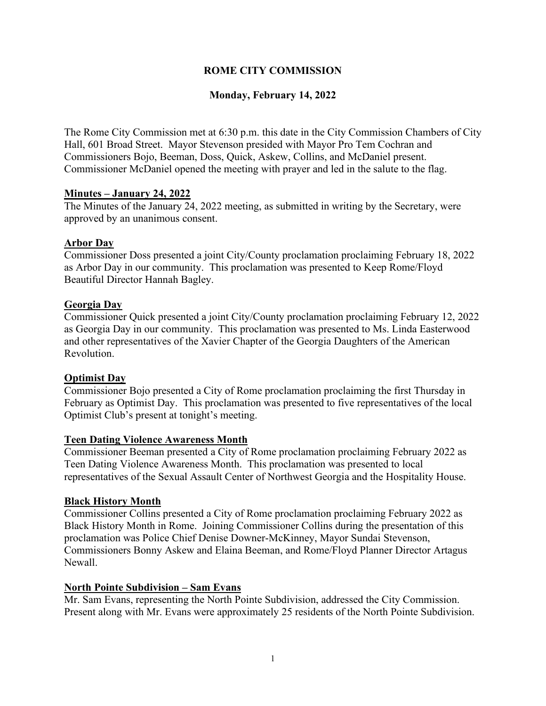## **ROME CITY COMMISSION**

## **Monday, February 14, 2022**

The Rome City Commission met at 6:30 p.m. this date in the City Commission Chambers of City Hall, 601 Broad Street. Mayor Stevenson presided with Mayor Pro Tem Cochran and Commissioners Bojo, Beeman, Doss, Quick, Askew, Collins, and McDaniel present. Commissioner McDaniel opened the meeting with prayer and led in the salute to the flag.

### **Minutes – January 24, 2022**

The Minutes of the January 24, 2022 meeting, as submitted in writing by the Secretary, were approved by an unanimous consent.

### **Arbor Day**

Commissioner Doss presented a joint City/County proclamation proclaiming February 18, 2022 as Arbor Day in our community. This proclamation was presented to Keep Rome/Floyd Beautiful Director Hannah Bagley.

### **Georgia Day**

Commissioner Quick presented a joint City/County proclamation proclaiming February 12, 2022 as Georgia Day in our community. This proclamation was presented to Ms. Linda Easterwood and other representatives of the Xavier Chapter of the Georgia Daughters of the American Revolution.

## **Optimist Day**

Commissioner Bojo presented a City of Rome proclamation proclaiming the first Thursday in February as Optimist Day. This proclamation was presented to five representatives of the local Optimist Club's present at tonight's meeting.

#### **Teen Dating Violence Awareness Month**

Commissioner Beeman presented a City of Rome proclamation proclaiming February 2022 as Teen Dating Violence Awareness Month. This proclamation was presented to local representatives of the Sexual Assault Center of Northwest Georgia and the Hospitality House.

#### **Black History Month**

Commissioner Collins presented a City of Rome proclamation proclaiming February 2022 as Black History Month in Rome. Joining Commissioner Collins during the presentation of this proclamation was Police Chief Denise Downer-McKinney, Mayor Sundai Stevenson, Commissioners Bonny Askew and Elaina Beeman, and Rome/Floyd Planner Director Artagus Newall.

#### **North Pointe Subdivision – Sam Evans**

Mr. Sam Evans, representing the North Pointe Subdivision, addressed the City Commission. Present along with Mr. Evans were approximately 25 residents of the North Pointe Subdivision.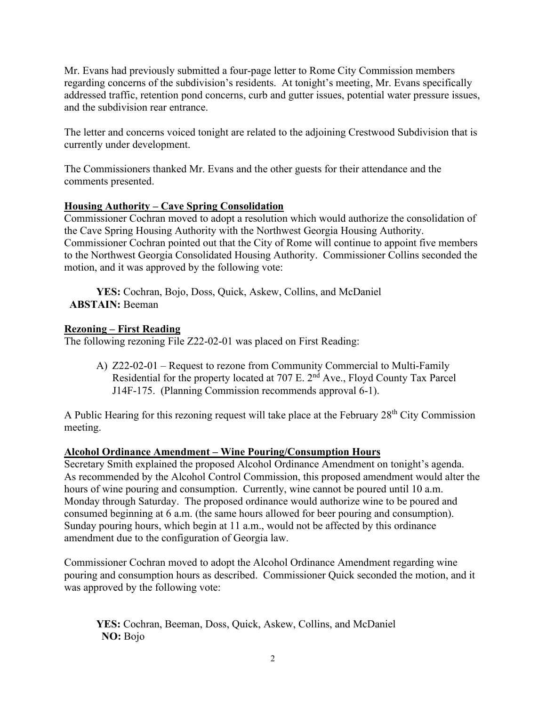Mr. Evans had previously submitted a four-page letter to Rome City Commission members regarding concerns of the subdivision's residents. At tonight's meeting, Mr. Evans specifically addressed traffic, retention pond concerns, curb and gutter issues, potential water pressure issues, and the subdivision rear entrance.

The letter and concerns voiced tonight are related to the adjoining Crestwood Subdivision that is currently under development.

The Commissioners thanked Mr. Evans and the other guests for their attendance and the comments presented.

# **Housing Authority – Cave Spring Consolidation**

Commissioner Cochran moved to adopt a resolution which would authorize the consolidation of the Cave Spring Housing Authority with the Northwest Georgia Housing Authority. Commissioner Cochran pointed out that the City of Rome will continue to appoint five members to the Northwest Georgia Consolidated Housing Authority. Commissioner Collins seconded the motion, and it was approved by the following vote:

**YES:** Cochran, Bojo, Doss, Quick, Askew, Collins, and McDaniel **ABSTAIN:** Beeman

## **Rezoning – First Reading**

The following rezoning File Z22-02-01 was placed on First Reading:

A) Z22-02-01 – Request to rezone from Community Commercial to Multi-Family Residential for the property located at 707 E. 2<sup>nd</sup> Ave., Floyd County Tax Parcel J14F-175. (Planning Commission recommends approval 6-1).

A Public Hearing for this rezoning request will take place at the February  $28<sup>th</sup>$  City Commission meeting.

## **Alcohol Ordinance Amendment – Wine Pouring/Consumption Hours**

Secretary Smith explained the proposed Alcohol Ordinance Amendment on tonight's agenda. As recommended by the Alcohol Control Commission, this proposed amendment would alter the hours of wine pouring and consumption. Currently, wine cannot be poured until 10 a.m. Monday through Saturday. The proposed ordinance would authorize wine to be poured and consumed beginning at 6 a.m. (the same hours allowed for beer pouring and consumption). Sunday pouring hours, which begin at 11 a.m., would not be affected by this ordinance amendment due to the configuration of Georgia law.

Commissioner Cochran moved to adopt the Alcohol Ordinance Amendment regarding wine pouring and consumption hours as described. Commissioner Quick seconded the motion, and it was approved by the following vote:

**YES:** Cochran, Beeman, Doss, Quick, Askew, Collins, and McDaniel **NO:** Bojo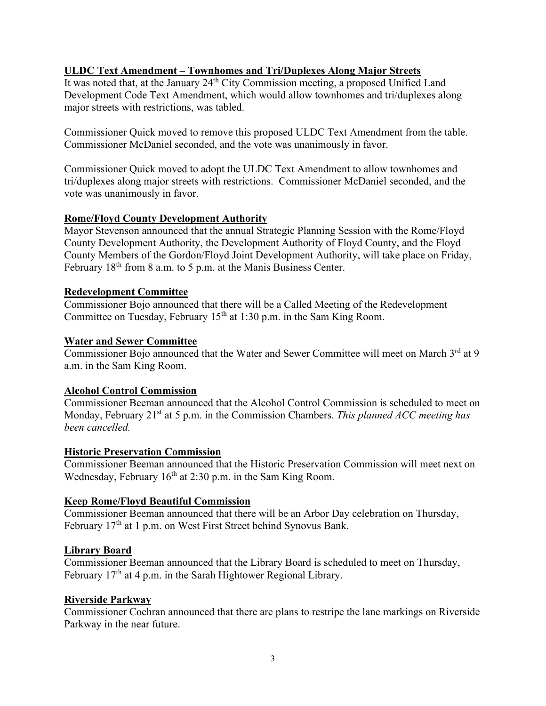### **ULDC Text Amendment – Townhomes and Tri/Duplexes Along Major Streets**

It was noted that, at the January 24<sup>th</sup> City Commission meeting, a proposed Unified Land Development Code Text Amendment, which would allow townhomes and tri/duplexes along major streets with restrictions, was tabled.

Commissioner Quick moved to remove this proposed ULDC Text Amendment from the table. Commissioner McDaniel seconded, and the vote was unanimously in favor.

Commissioner Quick moved to adopt the ULDC Text Amendment to allow townhomes and tri/duplexes along major streets with restrictions. Commissioner McDaniel seconded, and the vote was unanimously in favor.

#### **Rome/Floyd County Development Authority**

Mayor Stevenson announced that the annual Strategic Planning Session with the Rome/Floyd County Development Authority, the Development Authority of Floyd County, and the Floyd County Members of the Gordon/Floyd Joint Development Authority, will take place on Friday, February 18<sup>th</sup> from 8 a.m. to 5 p.m. at the Manis Business Center.

#### **Redevelopment Committee**

Commissioner Bojo announced that there will be a Called Meeting of the Redevelopment Committee on Tuesday, February  $15<sup>th</sup>$  at 1:30 p.m. in the Sam King Room.

#### **Water and Sewer Committee**

Commissioner Bojo announced that the Water and Sewer Committee will meet on March 3<sup>rd</sup> at 9 a.m. in the Sam King Room.

#### **Alcohol Control Commission**

Commissioner Beeman announced that the Alcohol Control Commission is scheduled to meet on Monday, February 21st at 5 p.m. in the Commission Chambers. *This planned ACC meeting has been cancelled.*

#### **Historic Preservation Commission**

Commissioner Beeman announced that the Historic Preservation Commission will meet next on Wednesday, February  $16<sup>th</sup>$  at 2:30 p.m. in the Sam King Room.

#### **Keep Rome/Floyd Beautiful Commission**

Commissioner Beeman announced that there will be an Arbor Day celebration on Thursday, February 17<sup>th</sup> at 1 p.m. on West First Street behind Synovus Bank.

#### **Library Board**

Commissioner Beeman announced that the Library Board is scheduled to meet on Thursday, February  $17<sup>th</sup>$  at 4 p.m. in the Sarah Hightower Regional Library.

#### **Riverside Parkway**

Commissioner Cochran announced that there are plans to restripe the lane markings on Riverside Parkway in the near future.